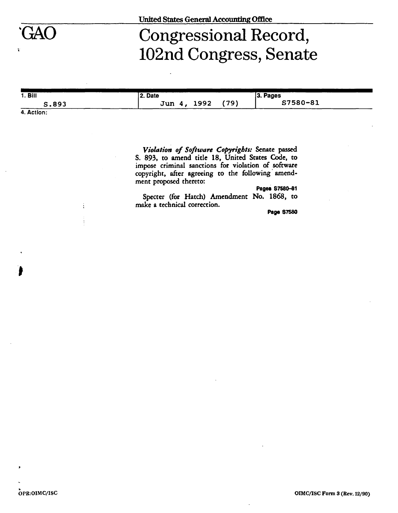## GAO Congressional Record, 102nd Congress, Senate

| 1. Bill | l 2. Date<br>0 ו  |      | 3. Pages |
|---------|-------------------|------|----------|
| S.893   | 1992<br>Jun<br>л. | (79) | S7580-81 |

**4. Action:** 

Ä

**»** 

*Violation of Software Copyrights:* **Senate passed S. 893, to amend title 18, United States Code, to impose criminal sanctions for violation of software copyright, after agreeing to the following amendment proposed thereto:** 

**Pages S7580-81** 

**Specter (for Hatch) Amendment No. 1868, to make a technical correction.** 

**Page 87580**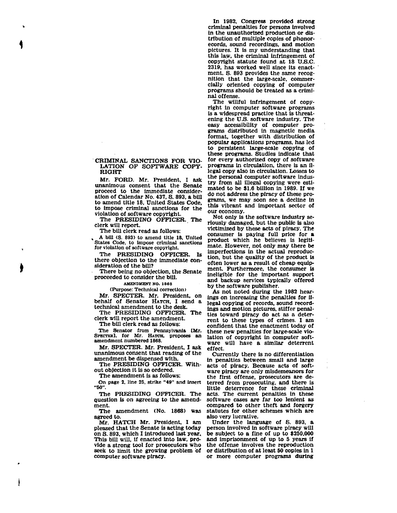## **CRIMINAL SANCTIONS FOR VIO-LATION OF SOFTWARE COPY-RIGHT**

**Mr. FORD. Mr. President, I ask unanimous consent that the Senate proceed to the immediate consideration of Calendar No. 437, S. 893, a bill to amend title 18, United States Code, to impose criminal sanctions for the violation of software copyright.** 

**The PRESIDING OFFICER. The clerk will report.** 

**The bill clerk read as follows:** 

**» A bill (S. 893) to amend title 18. United States Code, to impose criminal sanctions**  for violation of software copyright.

**The PRESIDING OFFICER. Is there objection to the immediate consideration of the bill?** 

**There being no objection, the Senate proceeded to consider the bill.** 

**AMENDMENT NO. 188 8** 

**(Purpose: Technical correction)** 

**Mr. SPECTER. Mr. President, on behalf of Senator HATCH, I send a technical amendment to the desk.**<br>The PRESIDING OFFICER. The

**The PRESIDING OFFICER. The clerk will report the amendment.** 

**The bill clerk read as follows:** 

**The Senator from Pennsylvania [Mr. SPECTER], for Mr. HATCH, proposes an** 

**Mr. SPECTER. Mr. President. I ask Mr. SPECTER. Mr. President, I ask unanimous consent that reading of the amendment be dispensed with.** 

**The PRESIDING OFFICER. Without objection it Is so ordered.** 

**The amendment is as follows:** 

**On page 2. line 25. strike "49" and insert "60".** 

**The PRESIDING OFFICER. The question is on agreeing to the amendment.** 

**The amendment (No. 1868) was agreed to.** 

**Mr. HATCH Mr. President, I am pleased that the Senate is acting today on S. 893. which I introduced last year. This bill will, if enacted into law, provide a strong tool for prosecutors who seek to limit the growing problem of computer software piracy.** 

**In 1982, Congress provided strong criminal penalties for persons involved in the unauthorized production or distribution of multiple copies of phonorecords, sound recordings, and motion pictures. It is my understanding that this law. the criminal infringement of copyright statute found at 18 TJ.S.C. 2319. has worked well since its enactment. S. 893 provides the same recognition that the large-scale, commercially oriented copying of computer programs should be treated as a criminal offense.** 

**The willful infringement of copyright in computer software programs is a widespread practice that is threatening the U.S. software industry. The easy accessibility of computer programs distributed in magnetic media format, together with distribution of popular applications programs, has led to persistent large-scale copying of these programs. Studies indicate that for every authorized copy of software programs in circulation, there is an illegal copy also in circulation. Losses to the personal computer software industry from all illegal copying were estimated to be \$1.6 billion in 1989. If we do not address the piracy of these programs, we may soon see a decline in this vibrant and important sector of our economy.** 

**Not only is the software industry seriously damaged, but the public is also victimized by these acts of piracy. The consumer is paying full price for a product which he believes is legitimate. However, not only may there be imperfections in the actual reproduction, but the quality of the product is often lower as a result of cheap equipment. Furthermore, the consumer is ineligible for the important support and backup services typically offered by the software publisher.** 

**As not noted during the 1982 hearings on increasing the penalties for illegal copying of records, sound recordings and motion pictures, stiffer penalties toward piracy do act as a deterrent to these types of crimes. I am confident that the enactment today of these new penalties for large-scale violation of copyright in computer software will have a similar deterrent effect.** 

**Currently there is no differentiation in penalties between small and large acts of piracy. Because acts of software piracy are only misdemeanors for the first offense, prosecutors are deterred from prosecuting, and there is little deterrence for these criminal acts. The current penalties in these software cases are far too lenient as compared to other theft and forgery statutes for other schemes which are also very lucrative.** 

**Under the language of S. 893, a person involved in software piracy will be subject to a fine of up to \$250,000 and imprisonment of up to 5 years if the offense involves the reproduction or distribution of at least 50 copies in 1 or more computer programs during**